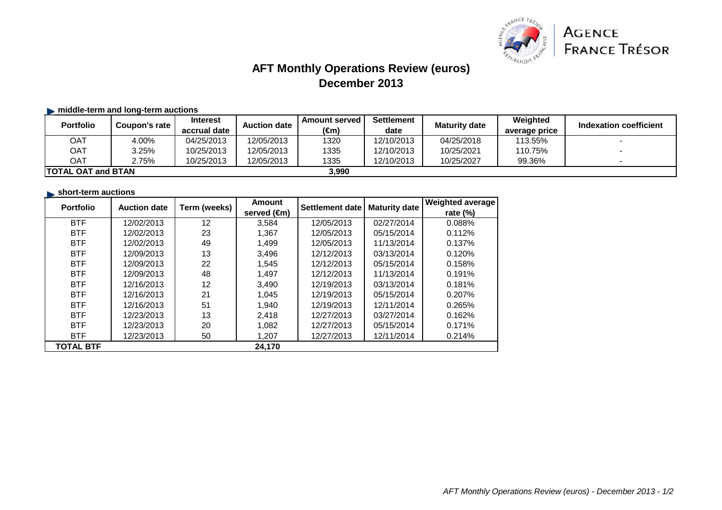

# **AFT Monthly Operations Review (euros)December 2013**

### **Example 1** middle-term and long-term auctions

| <b>Portfolio</b>                    | Coupon's rate | <b>Interest</b><br>accrual date | <b>Auction date</b> | <b>Amount served</b><br>(€m) | <b>Settlement</b><br>date | <b>Maturity date</b> | Weighted<br>average price | <b>Indexation coefficient</b> |
|-------------------------------------|---------------|---------------------------------|---------------------|------------------------------|---------------------------|----------------------|---------------------------|-------------------------------|
| OAT                                 | 4.00%         | 04/25/2013                      | 12/05/2013          | 1320                         | 12/10/2013                | 04/25/2018           | 113.55%                   |                               |
| <b>OAT</b>                          | 3.25%         | 10/25/2013                      | 12/05/2013          | 1335                         | 12/10/2013                | 10/25/2021           | 110.75%                   |                               |
| <b>OAT</b>                          | 2.75%         | 10/25/2013                      | 12/05/2013          | 1335                         | 12/10/2013                | 10/25/2027           | 99.36%                    |                               |
| 3.990<br><b>ITOTAL OAT and BTAN</b> |               |                                 |                     |                              |                           |                      |                           |                               |

#### **short-term auctions**

| <b>Portfolio</b> | <b>Auction date</b> | Term (weeks) | Amount      | Settlement date | <b>Maturity date</b> | <b>Weighted average</b> |
|------------------|---------------------|--------------|-------------|-----------------|----------------------|-------------------------|
|                  |                     |              | served (€m) |                 |                      | rate (%)                |
| <b>BTF</b>       | 12/02/2013          | 12           | 3,584       | 12/05/2013      | 02/27/2014           | 0.088%                  |
| <b>BTF</b>       | 12/02/2013          | 23           | 1,367       | 12/05/2013      | 05/15/2014           | 0.112%                  |
| <b>BTF</b>       | 12/02/2013          | 49           | 1.499       | 12/05/2013      | 11/13/2014           | 0.137%                  |
| <b>BTF</b>       | 12/09/2013          | 13           | 3,496       | 12/12/2013      | 03/13/2014           | 0.120%                  |
| <b>BTF</b>       | 12/09/2013          | 22           | 1,545       | 12/12/2013      | 05/15/2014           | 0.158%                  |
| <b>BTF</b>       | 12/09/2013          | 48           | 1.497       | 12/12/2013      | 11/13/2014           | 0.191%                  |
| <b>BTF</b>       | 12/16/2013          | 12           | 3,490       | 12/19/2013      | 03/13/2014           | 0.181%                  |
| <b>BTF</b>       | 12/16/2013          | 21           | 1,045       | 12/19/2013      | 05/15/2014           | 0.207%                  |
| <b>BTF</b>       | 12/16/2013          | 51           | 1,940       | 12/19/2013      | 12/11/2014           | 0.265%                  |
| <b>BTF</b>       | 12/23/2013          | 13           | 2.418       | 12/27/2013      | 03/27/2014           | 0.162%                  |
| <b>BTF</b>       | 12/23/2013          | 20           | 1,082       | 12/27/2013      | 05/15/2014           | 0.171%                  |
| <b>BTF</b>       | 12/23/2013          | 50           | 1,207       | 12/27/2013      | 12/11/2014           | 0.214%                  |
| <b>TOTAL BTF</b> |                     |              | 24,170      |                 |                      |                         |